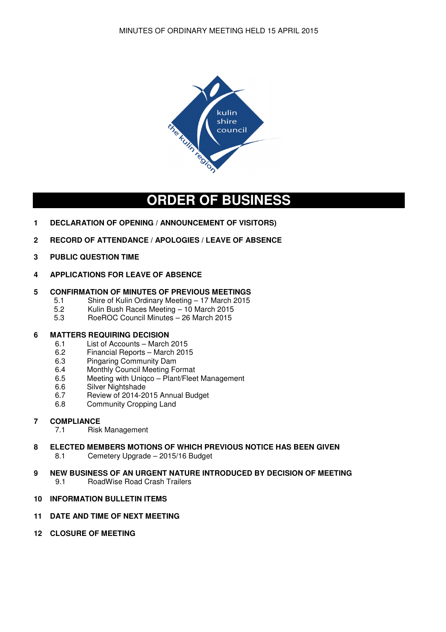

# **ORDER OF BUSINESS**

- **1 DECLARATION OF OPENING / ANNOUNCEMENT OF VISITORS)**
- **2 RECORD OF ATTENDANCE / APOLOGIES / LEAVE OF ABSENCE**
- **3 PUBLIC QUESTION TIME**
- **4 APPLICATIONS FOR LEAVE OF ABSENCE**

# **5 CONFIRMATION OF MINUTES OF PREVIOUS MEETINGS**<br>5.1 Shire of Kulin Ordinary Meeting – 17 March 2015

- 5.1 Shire of Kulin Ordinary Meeting 17 March 2015<br>5.2 Kulin Bush Races Meeting 10 March 2015
	- 5.2 Kulin Bush Races Meeting 10 March 2015<br>5.3 RoeBOC Council Minutes 26 March 2015
	- 5.3 RoeROC Council Minutes 26 March 2015

# **6 MATTERS REQUIRING DECISION**

- 6.1 List of Accounts March 2015
- 6.2 Financial Reports March 2015
- 6.3 Pingaring Community Dam<br>6.4 Monthly Council Meeting Fo
- Monthly Council Meeting Format
- 6.5 Meeting with Uniqco Plant/Fleet Management
- 6.6 Silver Nightshade
- 6.7 Review of 2014-2015 Annual Budget
- 6.8 Community Cropping Land
- **7 COMPLIANCE** 
	- 7.1 Risk Management
- **8 ELECTED MEMBERS MOTIONS OF WHICH PREVIOUS NOTICE HAS BEEN GIVEN**<br>8.1 Cemetery Upgrade 2015/16 Budget 8.1 Cemetery Upgrade – 2015/16 Budget
- **9 NEW BUSINESS OF AN URGENT NATURE INTRODUCED BY DECISION OF MEETING**  9.1 RoadWise Road Crash Trailers
- **10 INFORMATION BULLETIN ITEMS**

# **11 DATE AND TIME OF NEXT MEETING**

**12 CLOSURE OF MEETING**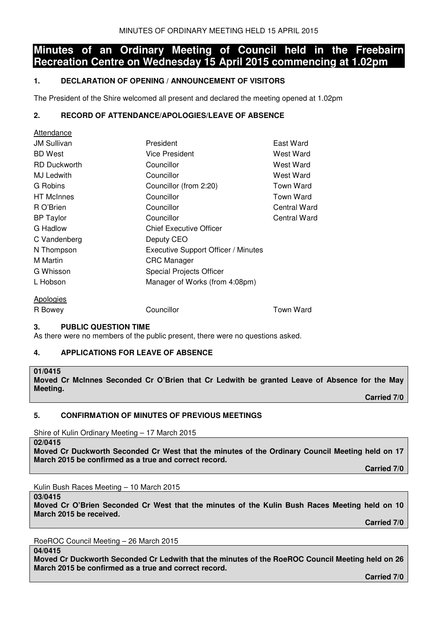# **Minutes of an Ordinary Meeting of Council held in the Freebairn Recreation Centre on Wednesday 15 April 2015 commencing at 1.02pm**

# **1. DECLARATION OF OPENING / ANNOUNCEMENT OF VISITORS**

The President of the Shire welcomed all present and declared the meeting opened at 1.02pm

# **2. RECORD OF ATTENDANCE/APOLOGIES/LEAVE OF ABSENCE**

| Allendance          |                                     |              |
|---------------------|-------------------------------------|--------------|
| <b>JM Sullivan</b>  | President                           | East Ward    |
| <b>BD</b> West      | <b>Vice President</b>               | West Ward    |
| <b>RD Duckworth</b> | Councillor                          | West Ward    |
| MJ Ledwith          | Councillor                          | West Ward    |
| G Robins            | Councillor (from 2:20)              | Town Ward    |
| <b>HT</b> McInnes   | Councillor                          | Town Ward    |
| R O'Brien           | Councillor                          | Central Ward |
| <b>BP</b> Taylor    | Councillor                          | Central Ward |
| G Hadlow            | <b>Chief Executive Officer</b>      |              |
| C Vandenberg        | Deputy CEO                          |              |
| N Thompson          | Executive Support Officer / Minutes |              |
| M Martin            | <b>CRC</b> Manager                  |              |
| G Whisson           | Special Projects Officer            |              |
| L Hobson            | Manager of Works (from 4:08pm)      |              |
| <b>Apologies</b>    |                                     |              |
| R Bowey             | Councillor                          | Town Ward    |
|                     |                                     |              |

# **3. PUBLIC QUESTION TIME**

As there were no members of the public present, there were no questions asked.

# **4. APPLICATIONS FOR LEAVE OF ABSENCE**

# **01/0415**

Attendance

**Moved Cr McInnes Seconded Cr O'Brien that Cr Ledwith be granted Leave of Absence for the May Meeting.** 

 **Carried 7/0** 

# **5. CONFIRMATION OF MINUTES OF PREVIOUS MEETINGS**

Shire of Kulin Ordinary Meeting – 17 March 2015

**02/0415** 

**Moved Cr Duckworth Seconded Cr West that the minutes of the Ordinary Council Meeting held on 17 March 2015 be confirmed as a true and correct record.** 

 **Carried 7/0** 

Kulin Bush Races Meeting – 10 March 2015

#### **03/0415**

**Moved Cr O'Brien Seconded Cr West that the minutes of the Kulin Bush Races Meeting held on 10 March 2015 be received.** 

 **Carried 7/0** 

RoeROC Council Meeting – 26 March 2015

**04/0415** 

**Moved Cr Duckworth Seconded Cr Ledwith that the minutes of the RoeROC Council Meeting held on 26 March 2015 be confirmed as a true and correct record.** 

 **Carried 7/0**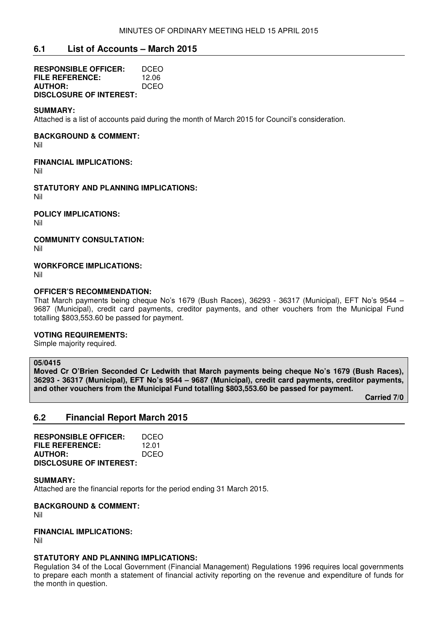# **6.1 List of Accounts – March 2015**

| <b>RESPONSIBLE OFFICER:</b>    | DCEO        |
|--------------------------------|-------------|
| <b>FILE REFERENCE:</b>         | 12.06       |
| <b>AUTHOR:</b>                 | <b>DCEO</b> |
| <b>DISCLOSURE OF INTEREST:</b> |             |

#### **SUMMARY:**

Attached is a list of accounts paid during the month of March 2015 for Council's consideration.

**BACKGROUND & COMMENT:** 

Nil

**FINANCIAL IMPLICATIONS:** 

Nil

**STATUTORY AND PLANNING IMPLICATIONS:**  Nil

**POLICY IMPLICATIONS:**  Nil

**COMMUNITY CONSULTATION:** 

Nil

**WORKFORCE IMPLICATIONS:** 

Nil

#### **OFFICER'S RECOMMENDATION:**

That March payments being cheque No's 1679 (Bush Races), 36293 - 36317 (Municipal), EFT No's 9544 – 9687 (Municipal), credit card payments, creditor payments, and other vouchers from the Municipal Fund totalling \$803,553.60 be passed for payment.

# **VOTING REQUIREMENTS:**

Simple majority required.

# **05/0415**

**Moved Cr O'Brien Seconded Cr Ledwith that March payments being cheque No's 1679 (Bush Races), 36293 - 36317 (Municipal), EFT No's 9544 – 9687 (Municipal), credit card payments, creditor payments, and other vouchers from the Municipal Fund totalling \$803,553.60 be passed for payment.** 

 **Carried 7/0** 

# **6.2 Financial Report March 2015**

| <b>RESPONSIBLE OFFICER:</b>    | DCEO  |
|--------------------------------|-------|
| FILE REFERENCE:                | 12.01 |
| <b>AUTHOR:</b>                 | DCEO  |
| <b>DISCLOSURE OF INTEREST:</b> |       |

**SUMMARY:** 

Attached are the financial reports for the period ending 31 March 2015.

**BACKGROUND & COMMENT:** 

Nil

# **FINANCIAL IMPLICATIONS:**

Nil

#### **STATUTORY AND PLANNING IMPLICATIONS:**

Regulation 34 of the Local Government (Financial Management) Regulations 1996 requires local governments to prepare each month a statement of financial activity reporting on the revenue and expenditure of funds for the month in question.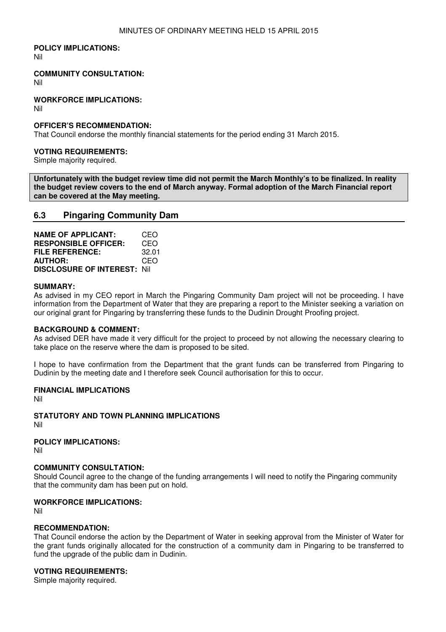### **POLICY IMPLICATIONS:**

Nil

#### **COMMUNITY CONSULTATION:**

Nil

#### **WORKFORCE IMPLICATIONS:**

Nil

### **OFFICER'S RECOMMENDATION:**

That Council endorse the monthly financial statements for the period ending 31 March 2015.

#### **VOTING REQUIREMENTS:**

Simple majority required.

**Unfortunately with the budget review time did not permit the March Monthly's to be finalized. In reality the budget review covers to the end of March anyway. Formal adoption of the March Financial report can be covered at the May meeting.**

# **6.3 Pingaring Community Dam**

| <b>NAME OF APPLICANT:</b>           | CEO   |
|-------------------------------------|-------|
| <b>RESPONSIBLE OFFICER:</b>         | CEO   |
| FILE REFERENCE:                     | 32.01 |
| <b>AUTHOR:</b>                      | CEO   |
| <b>DISCLOSURE OF INTEREST: Nill</b> |       |

#### **SUMMARY:**

As advised in my CEO report in March the Pingaring Community Dam project will not be proceeding. I have information from the Department of Water that they are preparing a report to the Minister seeking a variation on our original grant for Pingaring by transferring these funds to the Dudinin Drought Proofing project.

#### **BACKGROUND & COMMENT:**

As advised DER have made it very difficult for the project to proceed by not allowing the necessary clearing to take place on the reserve where the dam is proposed to be sited.

I hope to have confirmation from the Department that the grant funds can be transferred from Pingaring to Dudinin by the meeting date and I therefore seek Council authorisation for this to occur.

#### **FINANCIAL IMPLICATIONS**

Nil

**STATUTORY AND TOWN PLANNING IMPLICATIONS**  Nil

**POLICY IMPLICATIONS:**

Nil

#### **COMMUNITY CONSULTATION:**

Should Council agree to the change of the funding arrangements I will need to notify the Pingaring community that the community dam has been put on hold.

#### **WORKFORCE IMPLICATIONS:**

Nil

#### **RECOMMENDATION:**

That Council endorse the action by the Department of Water in seeking approval from the Minister of Water for the grant funds originally allocated for the construction of a community dam in Pingaring to be transferred to fund the upgrade of the public dam in Dudinin.

### **VOTING REQUIREMENTS:**

Simple majority required.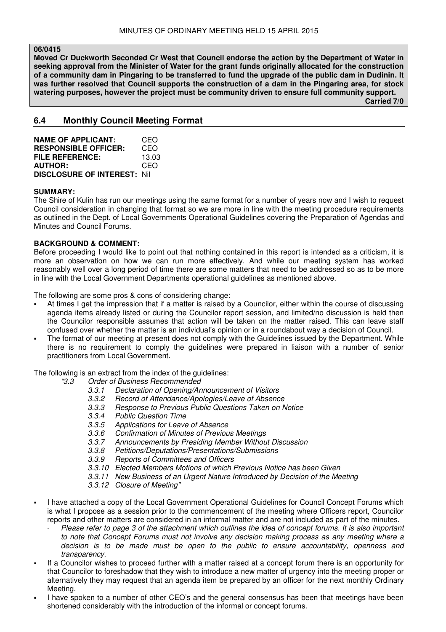# **06/0415**

**Moved Cr Duckworth Seconded Cr West that Council endorse the action by the Department of Water in seeking approval from the Minister of Water for the grant funds originally allocated for the construction of a community dam in Pingaring to be transferred to fund the upgrade of the public dam in Dudinin. It was further resolved that Council supports the construction of a dam in the Pingaring area, for stock watering purposes, however the project must be community driven to ensure full community support. Carried 7/0** 

**6.4 Monthly Council Meeting Format** 

| <b>NAME OF APPLICANT:</b>           | CEO   |
|-------------------------------------|-------|
| <b>RESPONSIBLE OFFICER:</b>         | CEO   |
| FILE REFERENCE:                     | 13.03 |
| <b>AUTHOR:</b>                      | CEO   |
| <b>DISCLOSURE OF INTEREST: Nill</b> |       |

#### **SUMMARY:**

The Shire of Kulin has run our meetings using the same format for a number of years now and I wish to request Council consideration in changing that format so we are more in line with the meeting procedure requirements as outlined in the Dept. of Local Governments Operational Guidelines covering the Preparation of Agendas and Minutes and Council Forums.

# **BACKGROUND & COMMENT:**

Before proceeding I would like to point out that nothing contained in this report is intended as a criticism, it is more an observation on how we can run more effectively. And while our meeting system has worked reasonably well over a long period of time there are some matters that need to be addressed so as to be more in line with the Local Government Departments operational guidelines as mentioned above.

The following are some pros & cons of considering change:

- At times I get the impression that if a matter is raised by a Councilor, either within the course of discussing agenda items already listed or during the Councilor report session, and limited/no discussion is held then the Councilor responsible assumes that action will be taken on the matter raised. This can leave staff confused over whether the matter is an individual's opinion or in a roundabout way a decision of Council.
- The format of our meeting at present does not comply with the Guidelines issued by the Department. While there is no requirement to comply the guidelines were prepared in liaison with a number of senior practitioners from Local Government.

The following is an extract from the index of the guidelines:

- "3.3 Order of Business Recommended
	- 3.3.1 Declaration of Opening/Announcement of Visitors
	- 3.3.2 Record of Attendance/Apologies/Leave of Absence
	- 3.3.3 Response to Previous Public Questions Taken on Notice
	- 3.3.4 Public Question Time
	- 3.3.5 Applications for Leave of Absence
- 3.3.6 Confirmation of Minutes of Previous Meetings
- 3.3.7 Announcements by Presiding Member Without Discussion
- 3.3.8 Petitions/Deputations/Presentations/Submissions
- 3.3.9 Reports of Committees and Officers
- 3.3.10 Elected Members Motions of which Previous Notice has been Given
	- 3.3.11 New Business of an Urgent Nature Introduced by Decision of the Meeting
	- 3.3.12 Closure of Meeting"
- I have attached a copy of the Local Government Operational Guidelines for Council Concept Forums which is what I propose as a session prior to the commencement of the meeting where Officers report, Councilor reports and other matters are considered in an informal matter and are not included as part of the minutes.
	- Please refer to page 3 of the attachment which outlines the idea of concept forums. It is also important to note that Concept Forums must not involve any decision making process as any meeting where a decision is to be made must be open to the public to ensure accountability, openness and transparency.
- If a Councilor wishes to proceed further with a matter raised at a concept forum there is an opportunity for that Councilor to foreshadow that they wish to introduce a new matter of urgency into the meeting proper or alternatively they may request that an agenda item be prepared by an officer for the next monthly Ordinary Meeting.
- I have spoken to a number of other CEO's and the general consensus has been that meetings have been shortened considerably with the introduction of the informal or concept forums.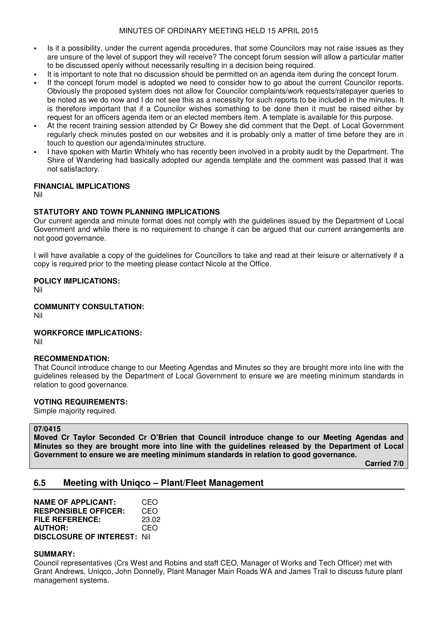### MINUTES OF ORDINARY MEETING HELD 15 APRIL 2015

- Is it a possibility, under the current agenda procedures, that some Councilors may not raise issues as they are unsure of the level of support they will receive? The concept forum session will allow a particular matter to be discussed openly without necessarily resulting in a decision being required.
- It is important to note that no discussion should be permitted on an agenda item during the concept forum.
- If the concept forum model is adopted we need to consider how to go about the current Councilor reports. Obviously the proposed system does not allow for Councilor complaints/work requests/ratepayer queries to be noted as we do now and I do not see this as a necessity for such reports to be included in the minutes. It is therefore important that if a Councilor wishes something to be done then it must be raised either by request for an officers agenda item or an elected members item. A template is available for this purpose.
- At the recent training session attended by Cr Bowey she did comment that the Dept. of Local Government regularly check minutes posted on our websites and it is probably only a matter of time before they are in touch to question our agenda/minutes structure.
- I have spoken with Martin Whitely who has recently been involved in a probity audit by the Department. The Shire of Wandering had basically adopted our agenda template and the comment was passed that it was not satisfactory.

# **FINANCIAL IMPLICATIONS**

Nil

#### **STATUTORY AND TOWN PLANNING IMPLICATIONS**

Our current agenda and minute format does not comply with the guidelines issued by the Department of Local Government and while there is no requirement to change it can be argued that our current arrangements are not good governance.

I will have available a copy of the guidelines for Councillors to take and read at their leisure or alternatively if a copy is required prior to the meeting please contact Nicole at the Office.

#### **POLICY IMPLICATIONS:**

Nil

#### **COMMUNITY CONSULTATION:**

Nil

#### **WORKFORCE IMPLICATIONS:**

Nil

#### **RECOMMENDATION:**

That Council introduce change to our Meeting Agendas and Minutes so they are brought more into line with the guidelines released by the Department of Local Government to ensure we are meeting minimum standards in relation to good governance.

#### **VOTING REQUIREMENTS:**

Simple majority required.

# **07/0415**

**Moved Cr Taylor Seconded Cr O'Brien that Council introduce change to our Meeting Agendas and Minutes so they are brought more into line with the guidelines released by the Department of Local Government to ensure we are meeting minimum standards in relation to good governance.** 

 **Carried 7/0** 

# **6.5 Meeting with Uniqco – Plant/Fleet Management**

| <b>NAME OF APPLICANT:</b>           | CEO   |
|-------------------------------------|-------|
| <b>RESPONSIBLE OFFICER:</b>         | CEO   |
| FILE REFERENCE:                     | 23.02 |
| <b>AUTHOR:</b>                      | CEO   |
| <b>DISCLOSURE OF INTEREST: Nill</b> |       |

#### **SUMMARY:**

Council representatives (Crs West and Robins and staff CEO, Manager of Works and Tech Officer) met with Grant Andrews, Uniqco, John Donnelly, Plant Manager Main Roads WA and James Trail to discuss future plant management systems.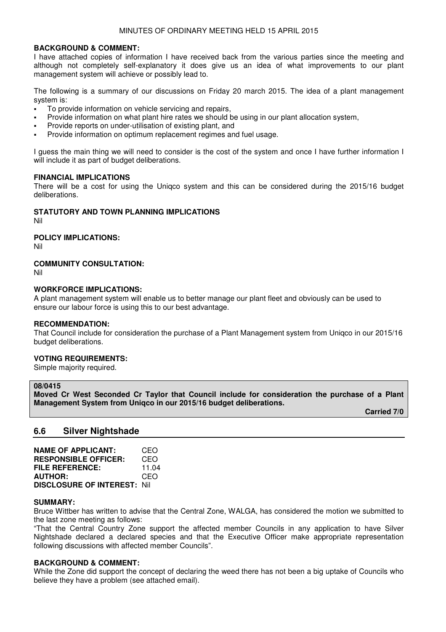#### **BACKGROUND & COMMENT:**

I have attached copies of information I have received back from the various parties since the meeting and although not completely self-explanatory it does give us an idea of what improvements to our plant management system will achieve or possibly lead to.

The following is a summary of our discussions on Friday 20 march 2015. The idea of a plant management system is:

- To provide information on vehicle servicing and repairs,
- Provide information on what plant hire rates we should be using in our plant allocation system,
- Provide reports on under-utilisation of existing plant, and
- Provide information on optimum replacement regimes and fuel usage.

I guess the main thing we will need to consider is the cost of the system and once I have further information I will include it as part of budget deliberations.

## **FINANCIAL IMPLICATIONS**

There will be a cost for using the Uniqco system and this can be considered during the 2015/16 budget deliberations.

# **STATUTORY AND TOWN PLANNING IMPLICATIONS**

Nil

### **POLICY IMPLICATIONS:**

Nil

# **COMMUNITY CONSULTATION:**

Nil

#### **WORKFORCE IMPLICATIONS:**

A plant management system will enable us to better manage our plant fleet and obviously can be used to ensure our labour force is using this to our best advantage.

#### **RECOMMENDATION:**

That Council include for consideration the purchase of a Plant Management system from Uniqco in our 2015/16 budget deliberations.

#### **VOTING REQUIREMENTS:**

Simple majority required.

#### **08/0415**

**Moved Cr West Seconded Cr Taylor that Council include for consideration the purchase of a Plant Management System from Uniqco in our 2015/16 budget deliberations.** 

 **Carried 7/0** 

# **6.6 Silver Nightshade**

| <b>NAME OF APPLICANT:</b>           | CEO   |
|-------------------------------------|-------|
| <b>RESPONSIBLE OFFICER:</b>         | CEO   |
| FILE REFERENCE:                     | 11.04 |
| <b>AUTHOR:</b>                      | CEO   |
| <b>DISCLOSURE OF INTEREST: Nill</b> |       |

#### **SUMMARY:**

Bruce Wittber has written to advise that the Central Zone, WALGA, has considered the motion we submitted to the last zone meeting as follows:

"That the Central Country Zone support the affected member Councils in any application to have Silver Nightshade declared a declared species and that the Executive Officer make appropriate representation following discussions with affected member Councils".

#### **BACKGROUND & COMMENT:**

While the Zone did support the concept of declaring the weed there has not been a big uptake of Councils who believe they have a problem (see attached email).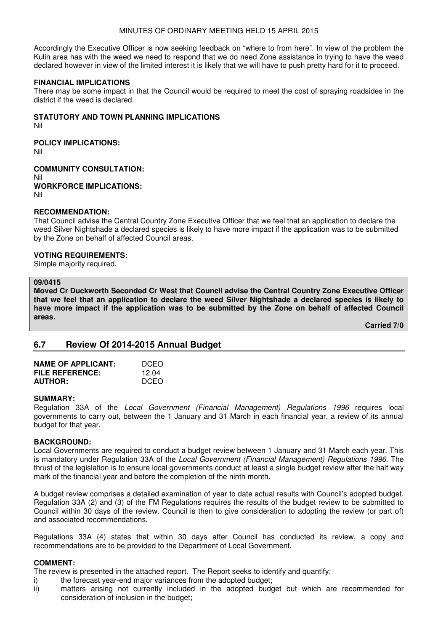### MINUTES OF ORDINARY MEETING HELD 15 APRIL 2015

Accordingly the Executive Officer is now seeking feedback on "where to from here". In view of the problem the Kulin area has with the weed we need to respond that we do need Zone assistance in trying to have the weed declared however in view of the limited interest it is likely that we will have to push pretty hard for it to proceed.

#### **FINANCIAL IMPLICATIONS**

There may be some impact in that the Council would be required to meet the cost of spraying roadsides in the district if the weed is declared.

# **STATUTORY AND TOWN PLANNING IMPLICATIONS**

Nil

**POLICY IMPLICATIONS:**

Nil

**COMMUNITY CONSULTATION:** Nil **WORKFORCE IMPLICATIONS:** Nil

#### **RECOMMENDATION:**

That Council advise the Central Country Zone Executive Officer that we feel that an application to declare the weed Silver Nightshade a declared species is likely to have more impact if the application was to be submitted by the Zone on behalf of affected Council areas.

#### **VOTING REQUIREMENTS:**

Simple majority required.

#### **09/0415**

**Moved Cr Duckworth Seconded Cr West that Council advise the Central Country Zone Executive Officer that we feel that an application to declare the weed Silver Nightshade a declared species is likely to have more impact if the application was to be submitted by the Zone on behalf of affected Council areas.** 

 **Carried 7/0** 

# **6.7 Review Of 2014-2015 Annual Budget**

| <b>NAME OF APPLICANT:</b> | DCEO  |
|---------------------------|-------|
| <b>FILE REFERENCE:</b>    | 12.04 |
| <b>AUTHOR:</b>            | DCEO  |

#### **SUMMARY:**

Regulation 33A of the Local Government (Financial Management) Regulations 1996 requires local governments to carry out, between the 1 January and 31 March in each financial year, a review of its annual budget for that year.

# **BACKGROUND:**

Local Governments are required to conduct a budget review between 1 January and 31 March each year. This is mandatory under Regulation 33A of the Local Government (Financial Management) Regulations 1996. The thrust of the legislation is to ensure local governments conduct at least a single budget review after the half way mark of the financial year and before the completion of the ninth month.

A budget review comprises a detailed examination of year to date actual results with Council's adopted budget. Regulation 33A (2) and (3) of the FM Regulations requires the results of the budget review to be submitted to Council within 30 days of the review. Council is then to give consideration to adopting the review (or part of) and associated recommendations.

Regulations 33A (4) states that within 30 days after Council has conducted its review, a copy and recommendations are to be provided to the Department of Local Government.

#### **COMMENT:**

The review is presented in the attached report. The Report seeks to identify and quantify:

- i) the forecast year-end major variances from the adopted budget;
- ii) matters arising not currently included in the adopted budget but which are recommended for consideration of inclusion in the budget;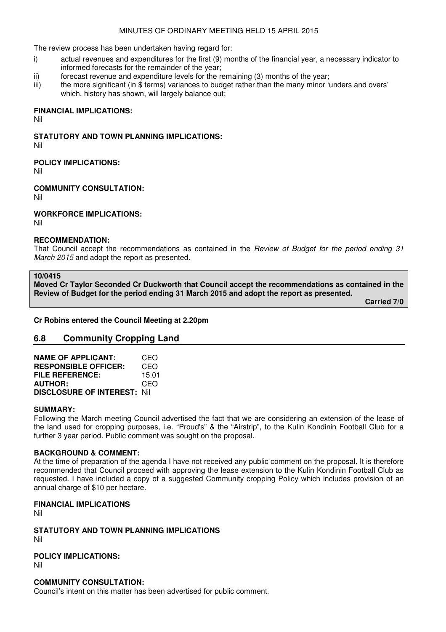# MINUTES OF ORDINARY MEETING HELD 15 APRIL 2015

The review process has been undertaken having regard for:

- i) actual revenues and expenditures for the first (9) months of the financial year, a necessary indicator to informed forecasts for the remainder of the year;
- ii) forecast revenue and expenditure levels for the remaining (3) months of the year;
- iii) the more significant (in \$ terms) variances to budget rather than the many minor 'unders and overs' which, history has shown, will largely balance out;

# **FINANCIAL IMPLICATIONS:**

Nil

**STATUTORY AND TOWN PLANNING IMPLICATIONS:** 

Nil

**POLICY IMPLICATIONS:**

Nil

**COMMUNITY CONSULTATION:**

Nil

**WORKFORCE IMPLICATIONS:**

Nil

#### **RECOMMENDATION:**

That Council accept the recommendations as contained in the Review of Budget for the period ending 31 March 2015 and adopt the report as presented.

**10/0415** 

**Moved Cr Taylor Seconded Cr Duckworth that Council accept the recommendations as contained in the Review of Budget for the period ending 31 March 2015 and adopt the report as presented.** 

 **Carried 7/0** 

**Cr Robins entered the Council Meeting at 2.20pm** 

# **6.8 Community Cropping Land**

| <b>NAME OF APPLICANT:</b>           | CEO   |
|-------------------------------------|-------|
| <b>RESPONSIBLE OFFICER:</b>         | CEO   |
| FILE REFERENCE:                     | 15.01 |
| <b>AUTHOR:</b>                      | CEO   |
| <b>DISCLOSURE OF INTEREST: Nill</b> |       |

#### **SUMMARY:**

Following the March meeting Council advertised the fact that we are considering an extension of the lease of the land used for cropping purposes, i.e. "Proud's" & the "Airstrip", to the Kulin Kondinin Football Club for a further 3 year period. Public comment was sought on the proposal.

# **BACKGROUND & COMMENT:**

At the time of preparation of the agenda I have not received any public comment on the proposal. It is therefore recommended that Council proceed with approving the lease extension to the Kulin Kondinin Football Club as requested. I have included a copy of a suggested Community cropping Policy which includes provision of an annual charge of \$10 per hectare.

# **FINANCIAL IMPLICATIONS**

Nil

**STATUTORY AND TOWN PLANNING IMPLICATIONS**  Nil

**POLICY IMPLICATIONS:** Nil

# **COMMUNITY CONSULTATION:**

Council's intent on this matter has been advertised for public comment.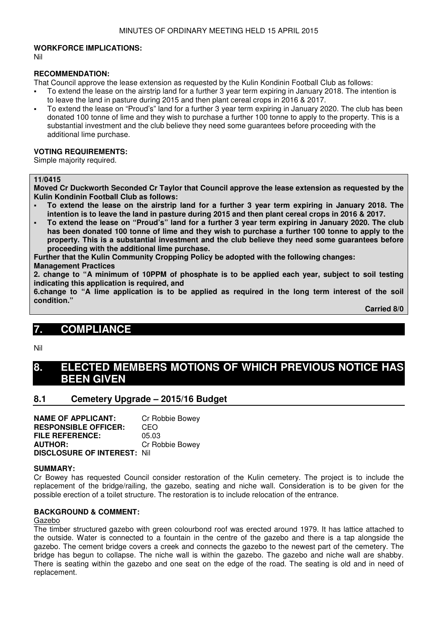#### **WORKFORCE IMPLICATIONS:**

Nil

#### **RECOMMENDATION:**

That Council approve the lease extension as requested by the Kulin Kondinin Football Club as follows:

- To extend the lease on the airstrip land for a further 3 year term expiring in January 2018. The intention is to leave the land in pasture during 2015 and then plant cereal crops in 2016 & 2017.
- To extend the lease on "Proud's" land for a further 3 year term expiring in January 2020. The club has been donated 100 tonne of lime and they wish to purchase a further 100 tonne to apply to the property. This is a substantial investment and the club believe they need some guarantees before proceeding with the additional lime purchase.

#### **VOTING REQUIREMENTS:**

Simple majority required.

#### **11/0415**

**Moved Cr Duckworth Seconded Cr Taylor that Council approve the lease extension as requested by the Kulin Kondinin Football Club as follows:** 

- **To extend the lease on the airstrip land for a further 3 year term expiring in January 2018. The intention is to leave the land in pasture during 2015 and then plant cereal crops in 2016 & 2017.**
- **To extend the lease on "Proud's" land for a further 3 year term expiring in January 2020. The club has been donated 100 tonne of lime and they wish to purchase a further 100 tonne to apply to the property. This is a substantial investment and the club believe they need some guarantees before proceeding with the additional lime purchase.**

**Further that the Kulin Community Cropping Policy be adopted with the following changes:** 

#### **Management Practices**

**2. change to "A minimum of 10PPM of phosphate is to be applied each year, subject to soil testing indicating this application is required, and** 

**6.change to "A lime application is to be applied as required in the long term interest of the soil condition."** 

 **Carried 8/0** 

# **7. COMPLIANCE**

Nil

# **8. ELECTED MEMBERS MOTIONS OF WHICH PREVIOUS NOTICE HAS BEEN GIVEN**

# **8.1 Cemetery Upgrade – 2015/16 Budget**

**NAME OF APPLICANT:** Cr Robbie Bowey **RESPONSIBLE OFFICER:** CEO **FILE REFERENCE:** 05.03 **AUTHOR:** Cr Robbie Bowey **DISCLOSURE OF INTEREST:** Nil

#### **SUMMARY:**

Cr Bowey has requested Council consider restoration of the Kulin cemetery. The project is to include the replacement of the bridge/railing, the gazebo, seating and niche wall. Consideration is to be given for the possible erection of a toilet structure. The restoration is to include relocation of the entrance.

#### **BACKGROUND & COMMENT:**

#### Gazebo

The timber structured gazebo with green colourbond roof was erected around 1979. It has lattice attached to the outside. Water is connected to a fountain in the centre of the gazebo and there is a tap alongside the gazebo. The cement bridge covers a creek and connects the gazebo to the newest part of the cemetery. The bridge has begun to collapse. The niche wall is within the gazebo. The gazebo and niche wall are shabby. There is seating within the gazebo and one seat on the edge of the road. The seating is old and in need of replacement.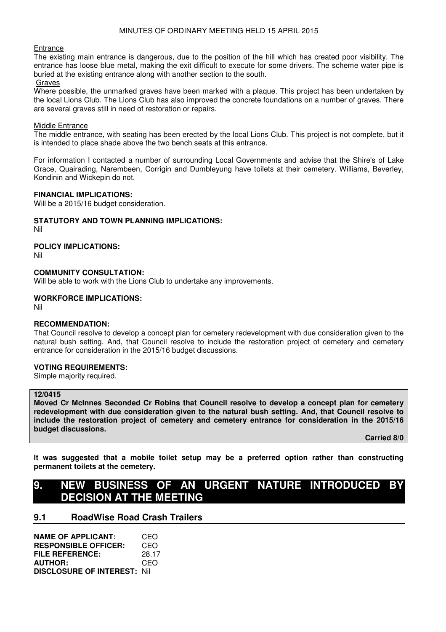#### **Entrance**

The existing main entrance is dangerous, due to the position of the hill which has created poor visibility. The entrance has loose blue metal, making the exit difficult to execute for some drivers. The scheme water pipe is buried at the existing entrance along with another section to the south.

#### Graves

Where possible, the unmarked graves have been marked with a plaque. This project has been undertaken by the local Lions Club. The Lions Club has also improved the concrete foundations on a number of graves. There are several graves still in need of restoration or repairs.

#### **Middle Entrance**

The middle entrance, with seating has been erected by the local Lions Club. This project is not complete, but it is intended to place shade above the two bench seats at this entrance.

For information I contacted a number of surrounding Local Governments and advise that the Shire's of Lake Grace, Quairading, Narembeen, Corrigin and Dumbleyung have toilets at their cemetery. Williams, Beverley, Kondinin and Wickepin do not.

## **FINANCIAL IMPLICATIONS:**

Will be a 2015/16 budget consideration.

# **STATUTORY AND TOWN PLANNING IMPLICATIONS:**

Nil

#### **POLICY IMPLICATIONS:**

Nil

#### **COMMUNITY CONSULTATION:**

Will be able to work with the Lions Club to undertake any improvements.

#### **WORKFORCE IMPLICATIONS:**

Nil

#### **RECOMMENDATION:**

That Council resolve to develop a concept plan for cemetery redevelopment with due consideration given to the natural bush setting. And, that Council resolve to include the restoration project of cemetery and cemetery entrance for consideration in the 2015/16 budget discussions.

#### **VOTING REQUIREMENTS:**

Simple majority required.

# **12/0415**

**Moved Cr McInnes Seconded Cr Robins that Council resolve to develop a concept plan for cemetery redevelopment with due consideration given to the natural bush setting. And, that Council resolve to include the restoration project of cemetery and cemetery entrance for consideration in the 2015/16 budget discussions.** 

 **Carried 8/0** 

**It was suggested that a mobile toilet setup may be a preferred option rather than constructing permanent toilets at the cemetery.** 

# 9. NEW BUSINESS OF AN URGENT NATURE INTRODUCED **DECISION AT THE MEETING**

# **9.1 RoadWise Road Crash Trailers**

| <b>NAME OF APPLICANT:</b>           | CEO   |
|-------------------------------------|-------|
| <b>RESPONSIBLE OFFICER:</b>         | CEO   |
| FILE REFERENCE:                     | 28.17 |
| <b>AUTHOR:</b>                      | CEO   |
| <b>DISCLOSURE OF INTEREST: Nill</b> |       |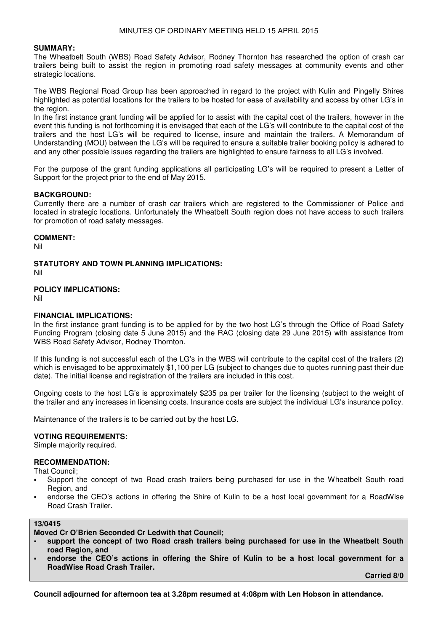#### **SUMMARY:**

The Wheatbelt South (WBS) Road Safety Advisor, Rodney Thornton has researched the option of crash car trailers being built to assist the region in promoting road safety messages at community events and other strategic locations.

The WBS Regional Road Group has been approached in regard to the project with Kulin and Pingelly Shires highlighted as potential locations for the trailers to be hosted for ease of availability and access by other LG's in the region.

In the first instance grant funding will be applied for to assist with the capital cost of the trailers, however in the event this funding is not forthcoming it is envisaged that each of the LG's will contribute to the capital cost of the trailers and the host LG's will be required to license, insure and maintain the trailers. A Memorandum of Understanding (MOU) between the LG's will be required to ensure a suitable trailer booking policy is adhered to and any other possible issues regarding the trailers are highlighted to ensure fairness to all LG's involved.

For the purpose of the grant funding applications all participating LG's will be required to present a Letter of Support for the project prior to the end of May 2015.

#### **BACKGROUND:**

Currently there are a number of crash car trailers which are registered to the Commissioner of Police and located in strategic locations. Unfortunately the Wheatbelt South region does not have access to such trailers for promotion of road safety messages.

#### **COMMENT:**

Nil

**STATUTORY AND TOWN PLANNING IMPLICATIONS:**  Nil

#### **POLICY IMPLICATIONS:**

Nil

#### **FINANCIAL IMPLICATIONS:**

In the first instance grant funding is to be applied for by the two host LG's through the Office of Road Safety Funding Program (closing date 5 June 2015) and the RAC (closing date 29 June 2015) with assistance from WBS Road Safety Advisor, Rodney Thornton.

If this funding is not successful each of the LG's in the WBS will contribute to the capital cost of the trailers (2) which is envisaged to be approximately \$1,100 per LG (subject to changes due to quotes running past their due date). The initial license and registration of the trailers are included in this cost.

Ongoing costs to the host LG's is approximately \$235 pa per trailer for the licensing (subject to the weight of the trailer and any increases in licensing costs. Insurance costs are subject the individual LG's insurance policy.

Maintenance of the trailers is to be carried out by the host LG.

#### **VOTING REQUIREMENTS:**

Simple majority required.

# **RECOMMENDATION:**

That Council;

- Support the concept of two Road crash trailers being purchased for use in the Wheatbelt South road Region, and
- endorse the CEO's actions in offering the Shire of Kulin to be a host local government for a RoadWise Road Crash Trailer.

#### **13/0415**

**Moved Cr O'Brien Seconded Cr Ledwith that Council;** 

- **support the concept of two Road crash trailers being purchased for use in the Wheatbelt South road Region, and**
- **endorse the CEO's actions in offering the Shire of Kulin to be a host local government for a RoadWise Road Crash Trailer.**

 **Carried 8/0** 

**Council adjourned for afternoon tea at 3.28pm resumed at 4:08pm with Len Hobson in attendance.**